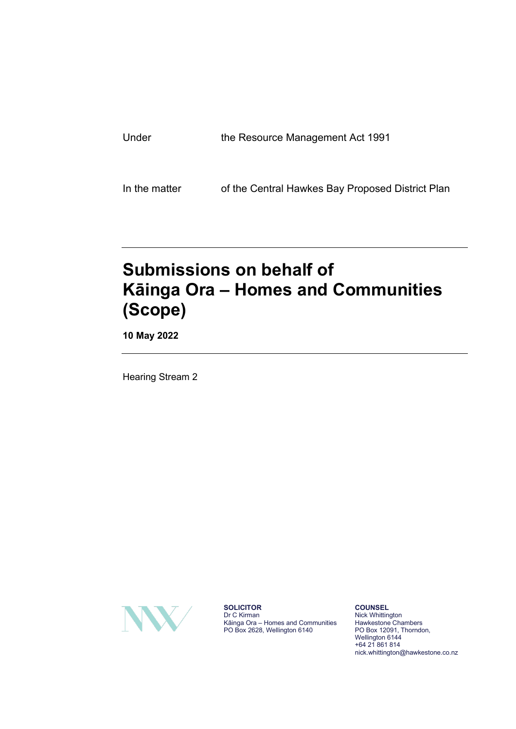| Under | the Resource Management Act 1991 |
|-------|----------------------------------|
|       |                                  |

In the matter of the Central Hawkes Bay Proposed District Plan

# **Submissions on behalf of Kāinga Ora – Homes and Communities (Scope)**

**10 May 2022**

Hearing Stream 2



**SOLICITOR** Dr C Kirman Kāinga Ora – Homes and Communities PO Box 2628, Wellington 6140

**COUNSEL** Nick Whittington Hawkestone Chambers PO Box 12091, Thorndon, Wellington 6144 +64 21 861 814 nick.whittington@hawkestone.co.nz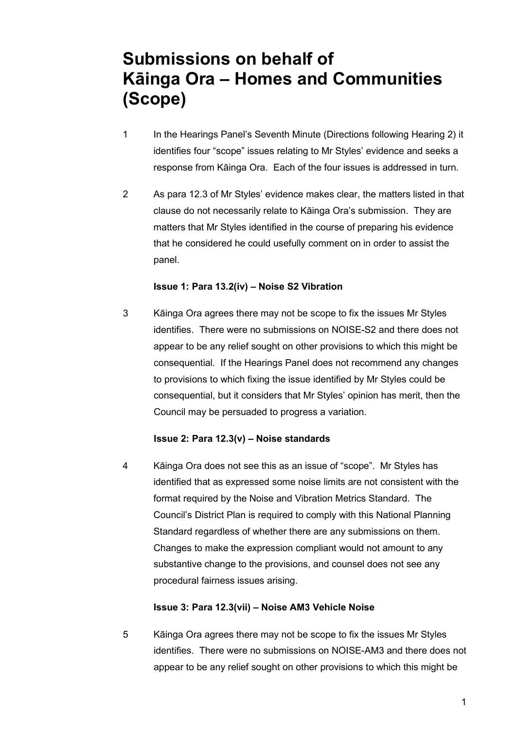## **Submissions on behalf of Kāinga Ora – Homes and Communities (Scope)**

- 1 In the Hearings Panel's Seventh Minute (Directions following Hearing 2) it identifies four "scope" issues relating to Mr Styles' evidence and seeks a response from Kāinga Ora. Each of the four issues is addressed in turn.
- 2 As para 12.3 of Mr Styles' evidence makes clear, the matters listed in that clause do not necessarily relate to Kāinga Ora's submission. They are matters that Mr Styles identified in the course of preparing his evidence that he considered he could usefully comment on in order to assist the panel.

#### **Issue 1: Para 13.2(iv) – Noise S2 Vibration**

3 Kāinga Ora agrees there may not be scope to fix the issues Mr Styles identifies. There were no submissions on NOISE-S2 and there does not appear to be any relief sought on other provisions to which this might be consequential. If the Hearings Panel does not recommend any changes to provisions to which fixing the issue identified by Mr Styles could be consequential, but it considers that Mr Styles' opinion has merit, then the Council may be persuaded to progress a variation.

### **Issue 2: Para 12.3(v) – Noise standards**

4 Kāinga Ora does not see this as an issue of "scope". Mr Styles has identified that as expressed some noise limits are not consistent with the format required by the Noise and Vibration Metrics Standard. The Council's District Plan is required to comply with this National Planning Standard regardless of whether there are any submissions on them. Changes to make the expression compliant would not amount to any substantive change to the provisions, and counsel does not see any procedural fairness issues arising.

### **Issue 3: Para 12.3(vii) – Noise AM3 Vehicle Noise**

5 Kāinga Ora agrees there may not be scope to fix the issues Mr Styles identifies. There were no submissions on NOISE-AM3 and there does not appear to be any relief sought on other provisions to which this might be